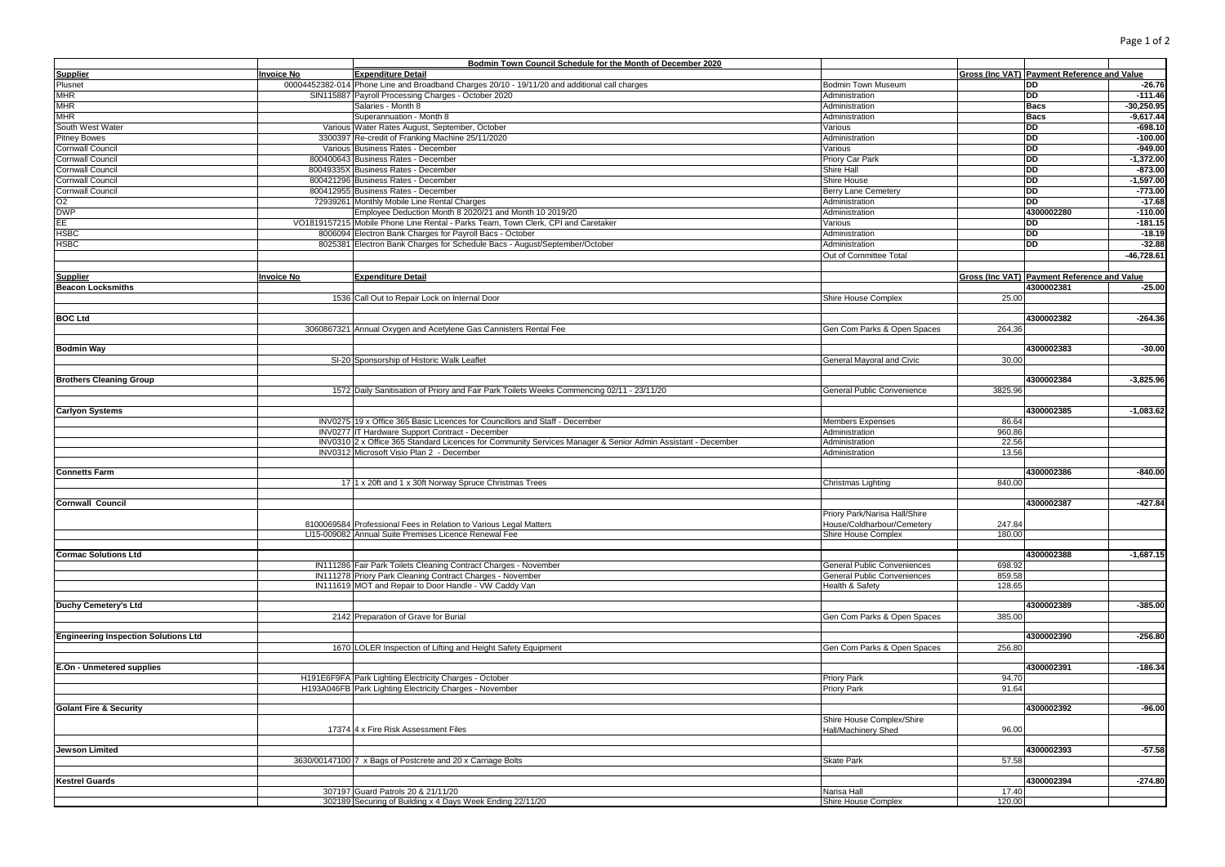| Page 1 of |  |  | 7 |
|-----------|--|--|---|
|-----------|--|--|---|

|                                             |                   | Bodmin Town Council Schedule for the Month of December 2020                                                 |                                    |         |                                             |
|---------------------------------------------|-------------------|-------------------------------------------------------------------------------------------------------------|------------------------------------|---------|---------------------------------------------|
| <b>Supplier</b>                             | <b>Invoice No</b> | <b>Expenditure Detail</b>                                                                                   |                                    |         | Gross (Inc VAT) Payment Reference and Value |
| Plusnet                                     |                   | 00004452382-014 Phone Line and Broadband Charges 20/10 - 19/11/20 and additional call charges               | Bodmin Town Museum                 |         | $-26.76$<br>DD                              |
| <b>MHR</b>                                  |                   | SIN115887 Payroll Processing Charges - October 2020                                                         | Administration                     |         | DD<br>$-111.46$                             |
| <b>MHR</b>                                  |                   | Salaries - Month 8                                                                                          | Administration                     |         | $-30,250.95$<br>Bacs                        |
| <b>MHR</b>                                  |                   | Superannuation - Month 8                                                                                    | Administration                     |         | $-9,617.44$<br><b>Bacs</b>                  |
| South West Water                            |                   | Various Water Rates August, September, October                                                              | Various                            |         | DD<br>$-698.10$                             |
| <b>Pitney Bowes</b>                         |                   | 3300397 Re-credit of Franking Machine 25/11/2020                                                            | Administration                     |         | DD<br>$-100.00$                             |
| Cornwall Council                            |                   | Various Business Rates - December                                                                           | Various                            |         | <b>DD</b><br>$-949.00$                      |
| Cornwall Council                            |                   | 800400643 Business Rates - December                                                                         | Priory Car Park                    |         | DD<br>$-1,372.00$                           |
| Cornwall Council                            |                   | 80049335X Business Rates - December                                                                         | Shire Hall                         |         | DD<br>$-873.00$                             |
| Cornwall Council                            |                   | 800421296 Business Rates - December                                                                         | Shire House                        |         | DD<br>$-1,597.00$                           |
| <b>Cornwall Council</b>                     |                   | 800412955 Business Rates - December                                                                         | Berry Lane Cemetery                |         | <b>DD</b><br>$-773.00$                      |
| O <sub>2</sub>                              |                   | 72939261 Monthly Mobile Line Rental Charges                                                                 | Administration                     |         | <b>DD</b><br>$-17.68$                       |
| <b>DWP</b>                                  |                   | Employee Deduction Month 8 2020/21 and Month 10 2019/20                                                     | Administration                     |         | 4300002280<br>$-110.00$                     |
|                                             |                   |                                                                                                             |                                    |         |                                             |
| EE                                          |                   | VO1819157215 Mobile Phone Line Rental - Parks Team, Town Clerk, CPI and Caretaker                           | Various                            |         | DD<br>$-181.15$<br><b>DD</b>                |
| <b>HSBC</b>                                 |                   | 8006094 Electron Bank Charges for Payroll Bacs - October                                                    | Administration                     |         | $-18.19$                                    |
| <b>HSBC</b>                                 |                   | 8025381 Electron Bank Charges for Schedule Bacs - August/September/October                                  | Administration                     |         | DD<br>$-32.88$                              |
|                                             |                   |                                                                                                             | Out of Committee Total             |         | $-46,728.61$                                |
|                                             |                   |                                                                                                             |                                    |         |                                             |
| <b>Supplier</b>                             | <b>Invoice No</b> | <b>Expenditure Detail</b>                                                                                   |                                    |         | Gross (Inc VAT) Payment Reference and Value |
| <b>Beacon Locksmiths</b>                    |                   |                                                                                                             |                                    |         | 4300002381<br>$-25.00$                      |
|                                             |                   | 1536 Call Out to Repair Lock on Internal Door                                                               | Shire House Complex                | 25.00   |                                             |
|                                             |                   |                                                                                                             |                                    |         |                                             |
| <b>BOC Ltd</b>                              |                   |                                                                                                             |                                    |         | 4300002382<br>$-264.36$                     |
|                                             |                   | 3060867321 Annual Oxygen and Acetylene Gas Cannisters Rental Fee                                            | Gen Com Parks & Open Spaces        | 264.36  |                                             |
|                                             |                   |                                                                                                             |                                    |         |                                             |
| <b>Bodmin Way</b>                           |                   |                                                                                                             |                                    |         | 4300002383<br>$-30.00$                      |
|                                             |                   | SI-20 Sponsorship of Historic Walk Leaflet                                                                  | General Mayoral and Civic          | 30.00   |                                             |
|                                             |                   |                                                                                                             |                                    |         |                                             |
| <b>Brothers Cleaning Group</b>              |                   |                                                                                                             |                                    |         | 4300002384<br>$-3,825.96$                   |
|                                             |                   | 1572 Daily Sanitisation of Priory and Fair Park Toilets Weeks Commencing 02/11 - 23/11/20                   | General Public Convenience         | 3825.96 |                                             |
|                                             |                   |                                                                                                             |                                    |         |                                             |
| <b>Carlyon Systems</b>                      |                   |                                                                                                             |                                    |         | 4300002385<br>$-1,083.62$                   |
|                                             |                   | INV0275 19 x Office 365 Basic Licences for Councillors and Staff - December                                 | <b>Members Expenses</b>            | 86.64   |                                             |
|                                             |                   | INV0277 IT Hardware Support Contract - December                                                             | Administration                     | 960.86  |                                             |
|                                             |                   | INV0310 2 x Office 365 Standard Licences for Community Services Manager & Senior Admin Assistant - December | Administration                     | 22.56   |                                             |
|                                             |                   | INV0312 Microsoft Visio Plan 2 - December                                                                   | Administration                     | 13.56   |                                             |
|                                             |                   |                                                                                                             |                                    |         |                                             |
| <b>Connetts Farm</b>                        |                   |                                                                                                             |                                    |         | 4300002386<br>$-840.00$                     |
|                                             |                   | 17 1 x 20ft and 1 x 30ft Norway Spruce Christmas Trees                                                      | Christmas Lighting                 | 840.00  |                                             |
|                                             |                   |                                                                                                             |                                    |         |                                             |
| <b>Cornwall Council</b>                     |                   |                                                                                                             |                                    |         | 4300002387<br>$-427.84$                     |
|                                             |                   |                                                                                                             | Priory Park/Narisa Hall/Shire      |         |                                             |
|                                             |                   | 8100069584 Professional Fees in Relation to Various Legal Matters                                           | House/Coldharbour/Cemetery         | 247.84  |                                             |
|                                             |                   | LI15-009082 Annual Suite Premises Licence Renewal Fee                                                       | Shire House Complex                | 180.00  |                                             |
|                                             |                   |                                                                                                             |                                    |         |                                             |
| <b>Cormac Solutions Ltd</b>                 |                   |                                                                                                             |                                    |         | 4300002388<br>$-1,687.15$                   |
|                                             |                   | IN111286 Fair Park Toilets Cleaning Contract Charges - November                                             | General Public Conveniences        | 698.92  |                                             |
|                                             |                   | IN111278 Priory Park Cleaning Contract Charges - November                                                   | <b>General Public Conveniences</b> | 859.58  |                                             |
|                                             |                   | IN111619 MOT and Repair to Door Handle - VW Caddy Van                                                       | Health & Safety                    | 128.65  |                                             |
|                                             |                   |                                                                                                             |                                    |         |                                             |
| Duchy Cemetery's Ltd                        |                   |                                                                                                             |                                    |         | 4300002389<br>$-385.00$                     |
|                                             |                   | 2142 Preparation of Grave for Burial                                                                        | Gen Com Parks & Open Spaces        | 385.00  |                                             |
|                                             |                   |                                                                                                             |                                    |         |                                             |
| <b>Engineering Inspection Solutions Ltd</b> |                   |                                                                                                             |                                    |         | 4300002390<br>$-256.80$                     |
|                                             |                   | 1670 LOLER Inspection of Lifting and Height Safety Equipment                                                | Gen Com Parks & Open Spaces        | 256.80  |                                             |
|                                             |                   |                                                                                                             |                                    |         |                                             |
| E.On - Unmetered supplies                   |                   |                                                                                                             |                                    |         | 4300002391<br>$-186.34$                     |
|                                             |                   | H191E6F9FA Park Lighting Electricity Charges - October                                                      | Priory Park                        | 94.70   |                                             |
|                                             |                   | H193A046FB Park Lighting Electricity Charges - November                                                     | <b>Priory Park</b>                 | 91.64   |                                             |
|                                             |                   |                                                                                                             |                                    |         |                                             |
| <b>Golant Fire &amp; Security</b>           |                   |                                                                                                             |                                    |         | 4300002392<br>$-96.00$                      |
|                                             |                   |                                                                                                             | Shire House Complex/Shire          |         |                                             |
|                                             |                   | 17374 4 x Fire Risk Assessment Files                                                                        | Hall/Machinery Shed                | 96.00   |                                             |
|                                             |                   |                                                                                                             |                                    |         |                                             |
| <b>Jewson Limited</b>                       |                   |                                                                                                             |                                    |         | 4300002393<br>$-57.58$                      |
|                                             |                   | 3630/00147100 7 x Bags of Postcrete and 20 x Carriage Bolts                                                 | <b>Skate Park</b>                  | 57.58   |                                             |
|                                             |                   |                                                                                                             |                                    |         |                                             |
| <b>Kestrel Guards</b>                       |                   |                                                                                                             |                                    |         | 4300002394<br>$-274.80$                     |
|                                             |                   | 307197 Guard Patrols 20 & 21/11/20                                                                          | Narisa Hall                        | 17.40   |                                             |
|                                             |                   | 302189 Securing of Building x 4 Days Week Ending 22/11/20                                                   | Shire House Complex                | 120.00  |                                             |